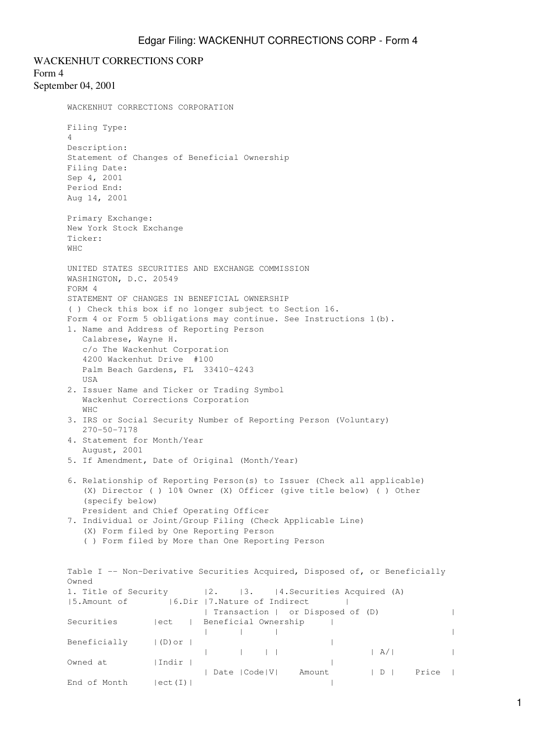WACKENHUT CORRECTIONS CORP Form 4 September 04, 2001 WACKENHUT CORRECTIONS CORPORATION Filing Type: 4 Description: Statement of Changes of Beneficial Ownership Filing Date: Sep 4, 2001 Period End: Aug 14, 2001 Primary Exchange: New York Stock Exchange Ticker: WHC UNITED STATES SECURITIES AND EXCHANGE COMMISSION WASHINGTON, D.C. 20549 FORM 4 STATEMENT OF CHANGES IN BENEFICIAL OWNERSHIP ( ) Check this box if no longer subject to Section 16. Form 4 or Form 5 obligations may continue. See Instructions 1(b). 1. Name and Address of Reporting Person Calabrese, Wayne H. c/o The Wackenhut Corporation 4200 Wackenhut Drive #100 Palm Beach Gardens, FL 33410-4243 USA 2. Issuer Name and Ticker or Trading Symbol Wackenhut Corrections Corporation WHC 3. IRS or Social Security Number of Reporting Person (Voluntary) 270-50-7178 4. Statement for Month/Year August, 2001 5. If Amendment, Date of Original (Month/Year) 6. Relationship of Reporting Person(s) to Issuer (Check all applicable) (X) Director ( ) 10% Owner (X) Officer (give title below) ( ) Other (specify below) President and Chief Operating Officer 7. Individual or Joint/Group Filing (Check Applicable Line) (X) Form filed by One Reporting Person ( ) Form filed by More than One Reporting Person Table I -- Non-Derivative Securities Acquired, Disposed of, or Beneficially Owned 1. Title of Security |2. |3. |4. Securities Acquired (A) |5.Amount of |6.Dir |7.Nature of Indirect | | Transaction | or Disposed of (D) | Securities | ect | Beneficial Ownership | | | | | Beneficially  $|(D)$  or  $|$  | | | | | A/| | Owned at  $|Indir|$  | | Date |Code|V| Amount | D | Price | End of Month  $|ect(I)|$  |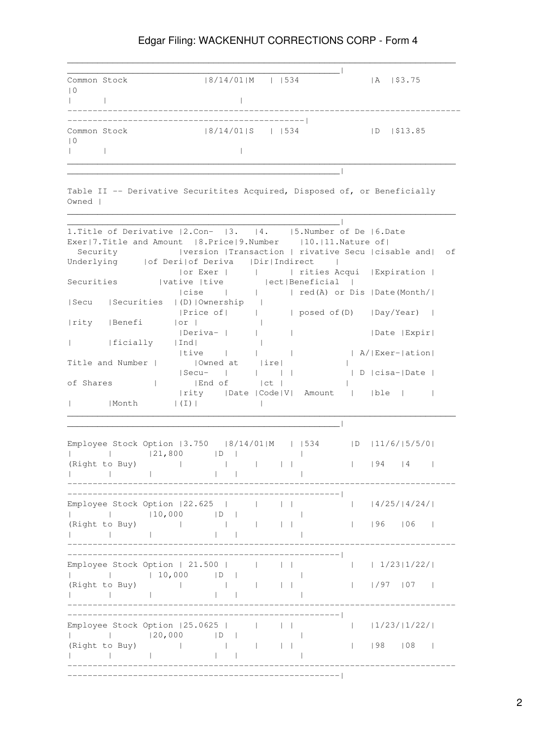## Edgar Filing: WACKENHUT CORRECTIONS CORP - Form 4

| Common Stock              | $ 8/14/01 M $     534 |             | $\mathsf{A}$ | \$3.75  |
|---------------------------|-----------------------|-------------|--------------|---------|
| $\vert 0$                 |                       |             |              |         |
|                           |                       |             |              |         |
|                           |                       | ----------- |              |         |
| Common Stock<br>$\vert 0$ | $ 8/14/01 S $    534  |             | $\mathsf{D}$ | \$13.85 |
|                           |                       |             |              |         |
|                           |                       |             |              |         |

 $\mathcal{L}_\text{max} = \frac{1}{2} \sum_{i=1}^n \mathcal{L}_\text{max} = \frac{1}{2} \sum_{i=1}^n \mathcal{L}_\text{max} = \frac{1}{2} \sum_{i=1}^n \mathcal{L}_\text{max} = \frac{1}{2} \sum_{i=1}^n \mathcal{L}_\text{max} = \frac{1}{2} \sum_{i=1}^n \mathcal{L}_\text{max} = \frac{1}{2} \sum_{i=1}^n \mathcal{L}_\text{max} = \frac{1}{2} \sum_{i=1}^n \mathcal{L}_\text{max} = \frac{1}{2} \sum_{i=$ 

Table II -- Derivative Securitites Acquired, Disposed of, or Beneficially Owned |

 $\mathcal{L}_\text{max} = \frac{1}{2} \sum_{i=1}^n \mathcal{L}_\text{max} = \frac{1}{2} \sum_{i=1}^n \mathcal{L}_\text{max} = \frac{1}{2} \sum_{i=1}^n \mathcal{L}_\text{max} = \frac{1}{2} \sum_{i=1}^n \mathcal{L}_\text{max} = \frac{1}{2} \sum_{i=1}^n \mathcal{L}_\text{max} = \frac{1}{2} \sum_{i=1}^n \mathcal{L}_\text{max} = \frac{1}{2} \sum_{i=1}^n \mathcal{L}_\text{max} = \frac{1}{2} \sum_{i=$ 

| 1. Title of Derivative   2. Con-   3.   4.   5. Number of De   6. Date                                                     |                                |
|----------------------------------------------------------------------------------------------------------------------------|--------------------------------|
| Exer 7.Title and Amount  8.Price 9.Number  10. 11.Nature of                                                                |                                |
| version  Transaction   rivative Secu  cisable and  of<br>Security                                                          |                                |
| Underlying     of Deri  of Deriva   Dir  Indirect                                                                          |                                |
| or Exer             rities Acqui   Expiration                                                                              |                                |
| Securities (vative   tive   ect   Beneficial                                                                               |                                |
| $  \text{cise}$ $ $                                                                                                        | red(A) or Dis   Date(Month/    |
| Secu   Securities   (D)   Ownership                                                                                        |                                |
| Price of         posed of (D)   Day/Year                                                                                   |                                |
| rity   Benefi<br> or <br>$\Box$                                                                                            |                                |
| Deriva-  <br>$\mathcal{A}$ and $\mathcal{A}$<br>and the                                                                    | Date   Expir                   |
| ficially   Ind <br>$\sim$ 1.00                                                                                             |                                |
| tive <br>$\mathbf{1}$ and $\mathbf{1}$ and $\mathbf{1}$                                                                    | A/ Exer- ation                 |
| Owned at   ire <br>Title and Number                                                                                        | $\Box$                         |
| Secu-                                                                                                                      |                                |
| of Shares  <br> End of  ct                                                                                                 | $\mathbb{R}$                   |
| $ $ rity $ $ Date $ $ Code $ V $ Amount $ $ $ $ ble $ $ $ $                                                                |                                |
| Month   (I)  <br>$\mathbb{R}$                                                                                              |                                |
|                                                                                                                            |                                |
|                                                                                                                            |                                |
|                                                                                                                            |                                |
| Employee Stock Option   3.750   8/14/01  M     534   D   11/6/  5/5/0                                                      |                                |
|                                                                                                                            |                                |
| (Right to Buy)  <br>$\mathbf{1}$ and $\mathbf{1}$ and $\mathbf{1}$ and $\mathbf{1}$                                        | $\mathbb{R}$<br>$ 94 \t 4 \t $ |
| $\mathbb{R}^n$<br>$\mathbf{1}$ $\mathbf{1}$                                                                                |                                |
|                                                                                                                            |                                |
|                                                                                                                            |                                |
| Employee Stock Option   22.625                                                                                             | $ 1 \t14/25/14/24/1$           |
| <b>Controller</b>                                                                                                          |                                |
| $\sim 10^{-10}$<br>(Right to Buy)  <br>$\mathbb{R}$<br>$\mathbf{1}$                                                        | $ 96 $ $ 06 $<br>$\mathbb{R}$  |
| $\Gamma$ and $\Gamma$ is a set of $\Gamma$ . The $\Gamma$<br><b>Contract Contract Contract</b><br>------------------------ |                                |
|                                                                                                                            |                                |
|                                                                                                                            |                                |
| Employee Stock Option   21.500                                                                                             |                                |
| <b>Contract Contract</b>                                                                                                   |                                |
| $\sim 10^{-10}$ and $\sim 10^{-10}$<br>(Right to Buy)  <br>$\mathbf{1}$ and $\mathbf{1}$ and $\mathbf{1}$                  | $ $ $ $ $/$ 97 $ $ 07 $ $      |
| $\frac{1}{1}$<br>$\sim$ 1 $\sim$ 1<br>__________________                                                                   |                                |
|                                                                                                                            |                                |
|                                                                                                                            |                                |
|                                                                                                                            |                                |
| D <br><b>Contract Contract</b>                                                                                             |                                |
| (Right to Buy) (Right to Buy)<br><b>The Common State State</b>                                                             | $ $   98   08                  |
| and the control of the control of<br>$\mathbf{1}$                                                                          |                                |
| _______________                                                                                                            |                                |
|                                                                                                                            |                                |

2